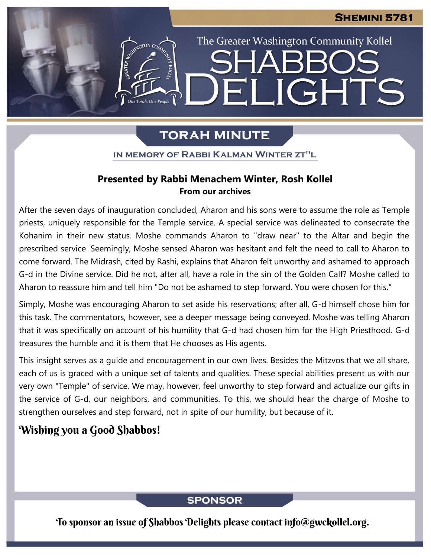The Greater Washington Community Kollel

ELIGHTS

# **TORAH MINUTE**

IN MEMORY OF RABBI KALMAN WINTER ZT"L

### **Presented by Rabbi Menachem Winter, Rosh Kollel From our archives**

After the seven days of inauguration concluded, Aharon and his sons were to assume the role as Temple priests, uniquely responsible for the Temple service. A special service was delineated to consecrate the Kohanim in their new status. Moshe commands Aharon to "draw near" to the Altar and begin the prescribed service. Seemingly, Moshe sensed Aharon was hesitant and felt the need to call to Aharon to come forward. The Midrash, cited by Rashi, explains that Aharon felt unworthy and ashamed to approach G-d in the Divine service. Did he not, after all, have a role in the sin of the Golden Calf? Moshe called to Aharon to reassure him and tell him "Do not be ashamed to step forward. You were chosen for this."

Simply, Moshe was encouraging Aharon to set aside his reservations; after all, G-d himself chose him for this task. The commentators, however, see a deeper message being conveyed. Moshe was telling Aharon that it was specifically on account of his humility that G-d had chosen him for the High Priesthood. G-d treasures the humble and it is them that He chooses as His agents.

This insight serves as a guide and encouragement in our own lives. Besides the Mitzvos that we all share, each of us is graced with a unique set of talents and qualities. These special abilities present us with our very own "Temple" of service. We may, however, feel unworthy to step forward and actualize our gifts in the service of G-d, our neighbors, and communities. To this, we should hear the charge of Moshe to strengthen ourselves and step forward, not in spite of our humility, but because of it.

## Wishing you a Good Shabbos!

### **SPONSOR**

To sponsor an issue of Shabbos Delights please contact info@gwckollel.org.